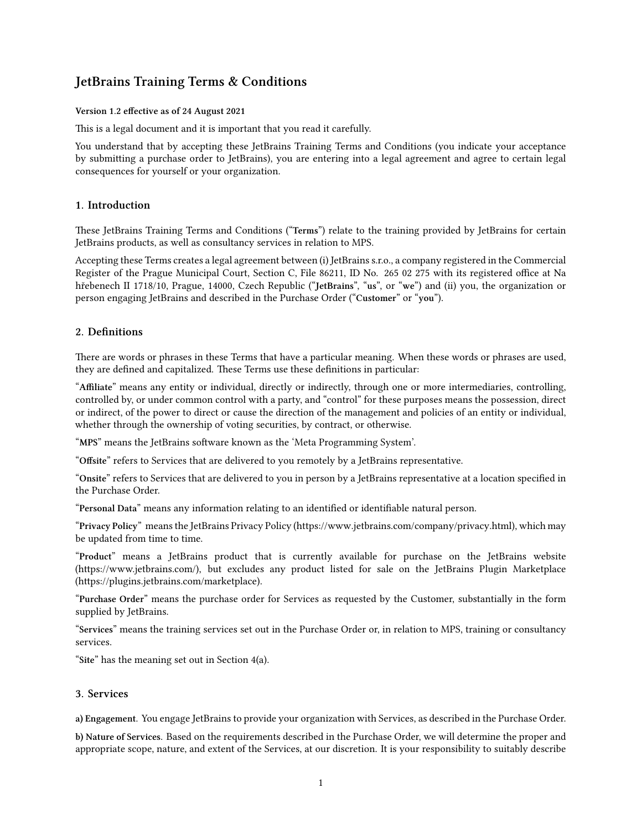# **JetBrains Training Terms & Conditions**

#### **Version 1.2 effective as of 24 August 2021**

This is a legal document and it is important that you read it carefully.

You understand that by accepting these JetBrains Training Terms and Conditions (you indicate your acceptance by submitting a purchase order to JetBrains), you are entering into a legal agreement and agree to certain legal consequences for yourself or your organization.

## **1. Introduction**

These JetBrains Training Terms and Conditions ("**Terms**") relate to the training provided by JetBrains for certain JetBrains products, as well as consultancy services in relation to MPS.

Accepting these Terms creates a legal agreement between (i) JetBrains s.r.o., a company registered in the Commercial Register of the Prague Municipal Court, Section C, File 86211, ID No. 265 02 275 with its registered office at Na hřebenech II 1718/10, Prague, 14000, Czech Republic ("**JetBrains**", "**us**", or "**we**") and (ii) you, the organization or person engaging JetBrains and described in the Purchase Order ("**Customer**" or "**you**").

## **2. Definitions**

There are words or phrases in these Terms that have a particular meaning. When these words or phrases are used, they are defined and capitalized. These Terms use these definitions in particular:

"**Affiliate**" means any entity or individual, directly or indirectly, through one or more intermediaries, controlling, controlled by, or under common control with a party, and "control" for these purposes means the possession, direct or indirect, of the power to direct or cause the direction of the management and policies of an entity or individual, whether through the ownership of voting securities, by contract, or otherwise.

"**MPS**" means the JetBrains software known as the 'Meta Programming System'.

"**Offsite**" refers to Services that are delivered to you remotely by a JetBrains representative.

"**Onsite**" refers to Services that are delivered to you in person by a JetBrains representative at a location specified in the Purchase Order.

"**Personal Data**" means any information relating to an identified or identifiable natural person.

"**Privacy Policy**" means the JetBrains Privacy Policy(<https://www.jetbrains.com/company/privacy.html>), which may be updated from time to time.

"**Product**" means a JetBrains product that is currently available for purchase on the JetBrains website (https://www.jetbrains.com/), but excludes any product listed for sale on the JetBrains Plugin Marketplace (https://plugins.jetbrains.com/marketplace).

"**Purchase Order**" means the purchase order for Services as requested by the Customer, substantially in the form supplied by JetBrains.

"**Services**" means the training services set out in the Purchase Order or, in relation to MPS, training or consultancy services.

"**Site**" has the meaning set out in Section 4(a).

## **3. Services**

**a) Engagement.** You engage JetBrains to provide your organization with Services, as described in the Purchase Order.

**b) Nature of Services.** Based on the requirements described in the Purchase Order, we will determine the proper and appropriate scope, nature, and extent of the Services, at our discretion. It is your responsibility to suitably describe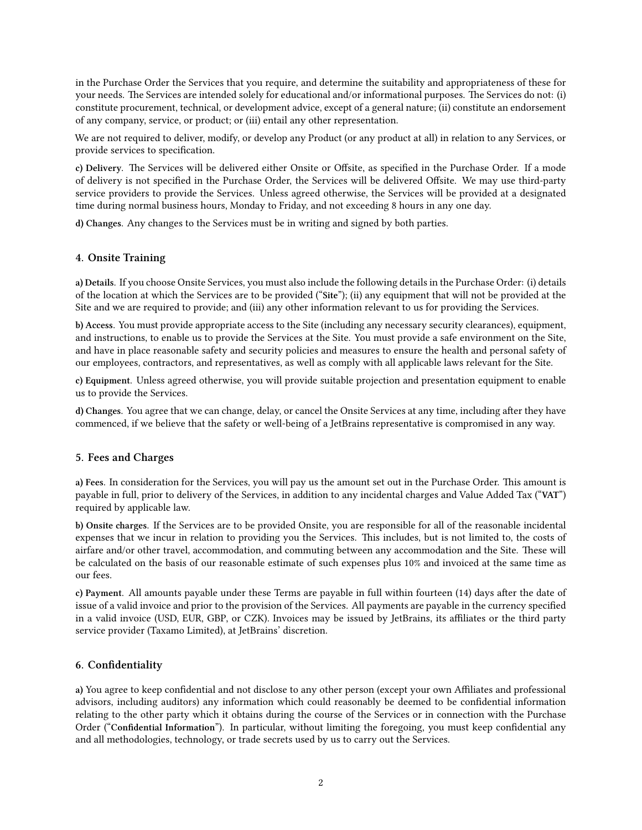in the Purchase Order the Services that you require, and determine the suitability and appropriateness of these for your needs. The Services are intended solely for educational and/or informational purposes. The Services do not: (i) constitute procurement, technical, or development advice, except of a general nature; (ii) constitute an endorsement of any company, service, or product; or (iii) entail any other representation.

We are not required to deliver, modify, or develop any Product (or any product at all) in relation to any Services, or provide services to specification.

**c) Delivery.** The Services will be delivered either Onsite or Offsite, as specified in the Purchase Order. If a mode of delivery is not specified in the Purchase Order, the Services will be delivered Offsite. We may use third-party service providers to provide the Services. Unless agreed otherwise, the Services will be provided at a designated time during normal business hours, Monday to Friday, and not exceeding 8 hours in any one day.

**d) Changes.** Any changes to the Services must be in writing and signed by both parties.

## **4. Onsite Training**

**a) Details.** If you choose Onsite Services, you must also include the following details in the Purchase Order: (i) details of the location at which the Services are to be provided ("**Site**"); (ii) any equipment that will not be provided at the Site and we are required to provide; and (iii) any other information relevant to us for providing the Services.

**b) Access.** You must provide appropriate access to the Site (including any necessary security clearances), equipment, and instructions, to enable us to provide the Services at the Site. You must provide a safe environment on the Site, and have in place reasonable safety and security policies and measures to ensure the health and personal safety of our employees, contractors, and representatives, as well as comply with all applicable laws relevant for the Site.

**c) Equipment.** Unless agreed otherwise, you will provide suitable projection and presentation equipment to enable us to provide the Services.

**d) Changes.** You agree that we can change, delay, or cancel the Onsite Services at any time, including after they have commenced, if we believe that the safety or well-being of a JetBrains representative is compromised in any way.

## **5. Fees and Charges**

**a) Fees.** In consideration for the Services, you will pay us the amount set out in the Purchase Order. This amount is payable in full, prior to delivery of the Services, in addition to any incidental charges and Value Added Tax ("**VAT**") required by applicable law.

**b) Onsite charges.** If the Services are to be provided Onsite, you are responsible for all of the reasonable incidental expenses that we incur in relation to providing you the Services. This includes, but is not limited to, the costs of airfare and/or other travel, accommodation, and commuting between any accommodation and the Site. These will be calculated on the basis of our reasonable estimate of such expenses plus 10% and invoiced at the same time as our fees.

**c) Payment.** All amounts payable under these Terms are payable in full within fourteen (14) days after the date of issue of a valid invoice and prior to the provision of the Services. All payments are payable in the currency specified in a valid invoice (USD, EUR, GBP, or CZK). Invoices may be issued by JetBrains, its affiliates or the third party service provider (Taxamo Limited), at JetBrains' discretion.

## **6. Confidentiality**

**a)** You agree to keep confidential and not disclose to any other person (except your own Affiliates and professional advisors, including auditors) any information which could reasonably be deemed to be confidential information relating to the other party which it obtains during the course of the Services or in connection with the Purchase Order ("**Confidential Information**"). In particular, without limiting the foregoing, you must keep confidential any and all methodologies, technology, or trade secrets used by us to carry out the Services.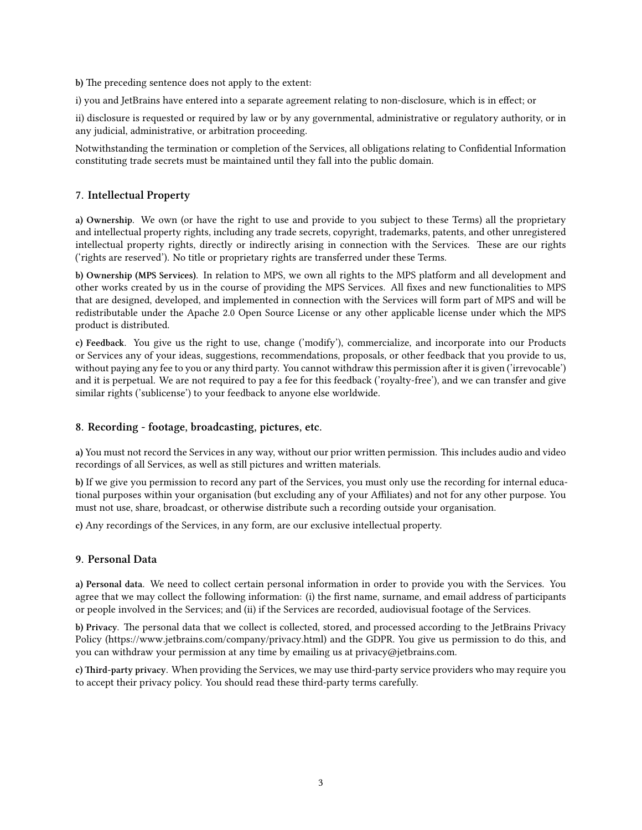**b)** The preceding sentence does not apply to the extent:

i) you and JetBrains have entered into a separate agreement relating to non-disclosure, which is in effect; or

ii) disclosure is requested or required by law or by any governmental, administrative or regulatory authority, or in any judicial, administrative, or arbitration proceeding.

Notwithstanding the termination or completion of the Services, all obligations relating to Confidential Information constituting trade secrets must be maintained until they fall into the public domain.

## **7. Intellectual Property**

**a) Ownership.** We own (or have the right to use and provide to you subject to these Terms) all the proprietary and intellectual property rights, including any trade secrets, copyright, trademarks, patents, and other unregistered intellectual property rights, directly or indirectly arising in connection with the Services. These are our rights ('rights are reserved'). No title or proprietary rights are transferred under these Terms.

**b) Ownership (MPS Services).** In relation to MPS, we own all rights to the MPS platform and all development and other works created by us in the course of providing the MPS Services. All fixes and new functionalities to MPS that are designed, developed, and implemented in connection with the Services will form part of MPS and will be redistributable under the Apache 2.0 Open Source License or any other applicable license under which the MPS product is distributed.

**c) Feedback.** You give us the right to use, change ('modify'), commercialize, and incorporate into our Products or Services any of your ideas, suggestions, recommendations, proposals, or other feedback that you provide to us, without paying any fee to you or any third party. You cannot withdraw this permission after it is given ('irrevocable') and it is perpetual. We are not required to pay a fee for this feedback ('royalty-free'), and we can transfer and give similar rights ('sublicense') to your feedback to anyone else worldwide.

## **8. Recording - footage, broadcasting, pictures, etc.**

**a)** You must not record the Services in any way, without our prior written permission. This includes audio and video recordings of all Services, as well as still pictures and written materials.

**b)** If we give you permission to record any part of the Services, you must only use the recording for internal educational purposes within your organisation (but excluding any of your Affiliates) and not for any other purpose. You must not use, share, broadcast, or otherwise distribute such a recording outside your organisation.

**c)** Any recordings of the Services, in any form, are our exclusive intellectual property.

## **9. Personal Data**

**a) Personal data.** We need to collect certain personal information in order to provide you with the Services. You agree that we may collect the following information: (i) the first name, surname, and email address of participants or people involved in the Services; and (ii) if the Services are recorded, audiovisual footage of the Services.

**b) Privacy.** The personal data that we collect is collected, stored, and processed according to the JetBrains Privacy Policy [\(https://www.jetbrains.com/company/privacy.html\)](https://www.jetbrains.com/company/privacy.html) and the GDPR. You give us permission to do this, and you can withdraw your permission at any time by emailing us at [privacy@jetbrains.com.](mailto:privacy@jetbrains.com)

**c) Third-party privacy**. When providing the Services, we may use third-party service providers who may require you to accept their privacy policy. You should read these third-party terms carefully.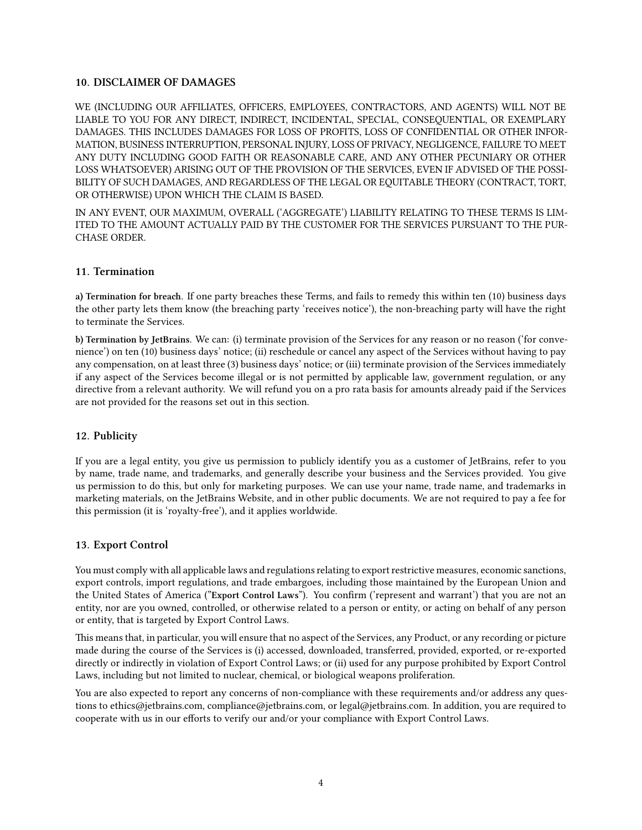## **10. DISCLAIMER OF DAMAGES**

WE (INCLUDING OUR AFFILIATES, OFFICERS, EMPLOYEES, CONTRACTORS, AND AGENTS) WILL NOT BE LIABLE TO YOU FOR ANY DIRECT, INDIRECT, INCIDENTAL, SPECIAL, CONSEQUENTIAL, OR EXEMPLARY DAMAGES. THIS INCLUDES DAMAGES FOR LOSS OF PROFITS, LOSS OF CONFIDENTIAL OR OTHER INFOR-MATION, BUSINESS INTERRUPTION, PERSONAL INJURY, LOSS OF PRIVACY, NEGLIGENCE, FAILURE TO MEET ANY DUTY INCLUDING GOOD FAITH OR REASONABLE CARE, AND ANY OTHER PECUNIARY OR OTHER LOSS WHATSOEVER) ARISING OUT OF THE PROVISION OF THE SERVICES, EVEN IF ADVISED OF THE POSSI-BILITY OF SUCH DAMAGES, AND REGARDLESS OF THE LEGAL OR EQUITABLE THEORY (CONTRACT, TORT, OR OTHERWISE) UPON WHICH THE CLAIM IS BASED.

IN ANY EVENT, OUR MAXIMUM, OVERALL ('AGGREGATE') LIABILITY RELATING TO THESE TERMS IS LIM-ITED TO THE AMOUNT ACTUALLY PAID BY THE CUSTOMER FOR THE SERVICES PURSUANT TO THE PUR-CHASE ORDER.

## **11. Termination**

**a) Termination for breach.** If one party breaches these Terms, and fails to remedy this within ten (10) business days the other party lets them know (the breaching party 'receives notice'), the non-breaching party will have the right to terminate the Services.

**b) Termination by JetBrains.** We can: (i) terminate provision of the Services for any reason or no reason ('for convenience') on ten (10) business days' notice; (ii) reschedule or cancel any aspect of the Services without having to pay any compensation, on at least three (3) business days' notice; or (iii) terminate provision of the Services immediately if any aspect of the Services become illegal or is not permitted by applicable law, government regulation, or any directive from a relevant authority. We will refund you on a pro rata basis for amounts already paid if the Services are not provided for the reasons set out in this section.

## **12. Publicity**

If you are a legal entity, you give us permission to publicly identify you as a customer of JetBrains, refer to you by name, trade name, and trademarks, and generally describe your business and the Services provided. You give us permission to do this, but only for marketing purposes. We can use your name, trade name, and trademarks in marketing materials, on the JetBrains Website, and in other public documents. We are not required to pay a fee for this permission (it is 'royalty-free'), and it applies worldwide.

## **13. Export Control**

You must comply with all applicable laws and regulations relating to export restrictive measures, economic sanctions, export controls, import regulations, and trade embargoes, including those maintained by the European Union and the United States of America ("**Export Control Laws**"). You confirm ('represent and warrant') that you are not an entity, nor are you owned, controlled, or otherwise related to a person or entity, or acting on behalf of any person or entity, that is targeted by Export Control Laws.

This means that, in particular, you will ensure that no aspect of the Services, any Product, or any recording or picture made during the course of the Services is (i) accessed, downloaded, transferred, provided, exported, or re-exported directly or indirectly in violation of Export Control Laws; or (ii) used for any purpose prohibited by Export Control Laws, including but not limited to nuclear, chemical, or biological weapons proliferation.

You are also expected to report any concerns of non-compliance with these requirements and/or address any questions to ethics@jetbrains.com, compliance@jetbrains.com, or legal@jetbrains.com. In addition, you are required to cooperate with us in our efforts to verify our and/or your compliance with Export Control Laws.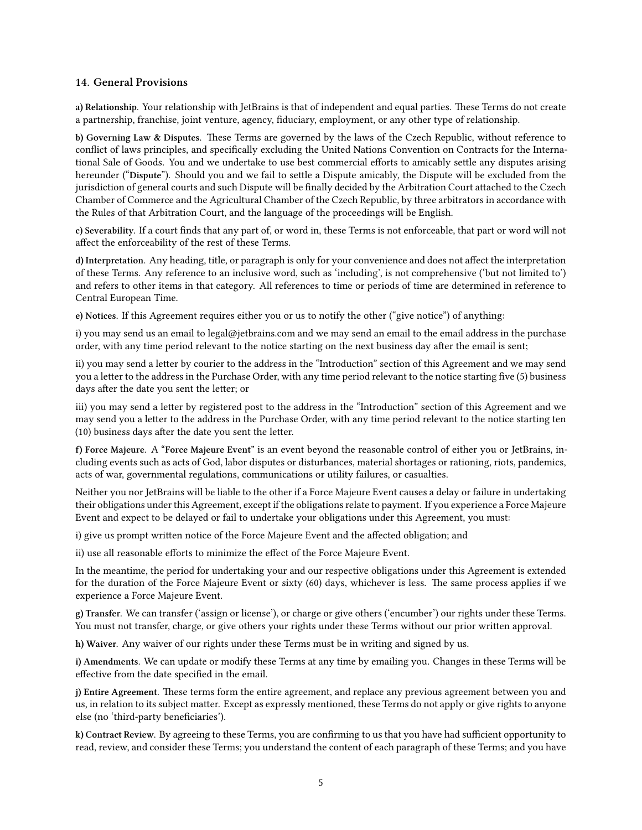## **14. General Provisions**

**a) Relationship.** Your relationship with JetBrains is that of independent and equal parties. These Terms do not create a partnership, franchise, joint venture, agency, fiduciary, employment, or any other type of relationship.

**b) Governing Law & Disputes.** These Terms are governed by the laws of the Czech Republic, without reference to conflict of laws principles, and specifically excluding the United Nations Convention on Contracts for the International Sale of Goods. You and we undertake to use best commercial efforts to amicably settle any disputes arising hereunder ("**Dispute**"). Should you and we fail to settle a Dispute amicably, the Dispute will be excluded from the jurisdiction of general courts and such Dispute will be finally decided by the Arbitration Court attached to the Czech Chamber of Commerce and the Agricultural Chamber of the Czech Republic, by three arbitrators in accordance with the Rules of that Arbitration Court, and the language of the proceedings will be English.

**c) Severability.** If a court finds that any part of, or word in, these Terms is not enforceable, that part or word will not affect the enforceability of the rest of these Terms.

**d) Interpretation.** Any heading, title, or paragraph is only for your convenience and does not affect the interpretation of these Terms. Any reference to an inclusive word, such as 'including', is not comprehensive ('but not limited to') and refers to other items in that category. All references to time or periods of time are determined in reference to Central European Time.

**e) Notices.** If this Agreement requires either you or us to notify the other ("give notice") of anything:

i) you may send us an email to [legal@jetbrains.com](mailto:legal@jetbrains.com) and we may send an email to the email address in the purchase order, with any time period relevant to the notice starting on the next business day after the email is sent;

ii) you may send a letter by courier to the address in the "Introduction" section of this Agreement and we may send you a letter to the address in the Purchase Order, with any time period relevant to the notice starting five (5) business days after the date you sent the letter; or

iii) you may send a letter by registered post to the address in the "Introduction" section of this Agreement and we may send you a letter to the address in the Purchase Order, with any time period relevant to the notice starting ten (10) business days after the date you sent the letter.

**f) Force Majeure.** A **"Force Majeure Event"** is an event beyond the reasonable control of either you or JetBrains, including events such as acts of God, labor disputes or disturbances, material shortages or rationing, riots, pandemics, acts of war, governmental regulations, communications or utility failures, or casualties.

Neither you nor JetBrains will be liable to the other if a Force Majeure Event causes a delay or failure in undertaking their obligations under this Agreement, except if the obligations relate to payment. If you experience a Force Majeure Event and expect to be delayed or fail to undertake your obligations under this Agreement, you must:

i) give us prompt written notice of the Force Majeure Event and the affected obligation; and

ii) use all reasonable efforts to minimize the effect of the Force Majeure Event.

In the meantime, the period for undertaking your and our respective obligations under this Agreement is extended for the duration of the Force Majeure Event or sixty (60) days, whichever is less. The same process applies if we experience a Force Majeure Event.

**g) Transfer.** We can transfer ('assign or license'), or charge or give others ('encumber') our rights under these Terms. You must not transfer, charge, or give others your rights under these Terms without our prior written approval.

**h) Waiver.** Any waiver of our rights under these Terms must be in writing and signed by us.

**i) Amendments.** We can update or modify these Terms at any time by emailing you. Changes in these Terms will be effective from the date specified in the email.

**j) Entire Agreement.** These terms form the entire agreement, and replace any previous agreement between you and us, in relation to its subject matter. Except as expressly mentioned, these Terms do not apply or give rights to anyone else (no 'third-party beneficiaries').

**k) Contract Review.** By agreeing to these Terms, you are confirming to us that you have had sufficient opportunity to read, review, and consider these Terms; you understand the content of each paragraph of these Terms; and you have